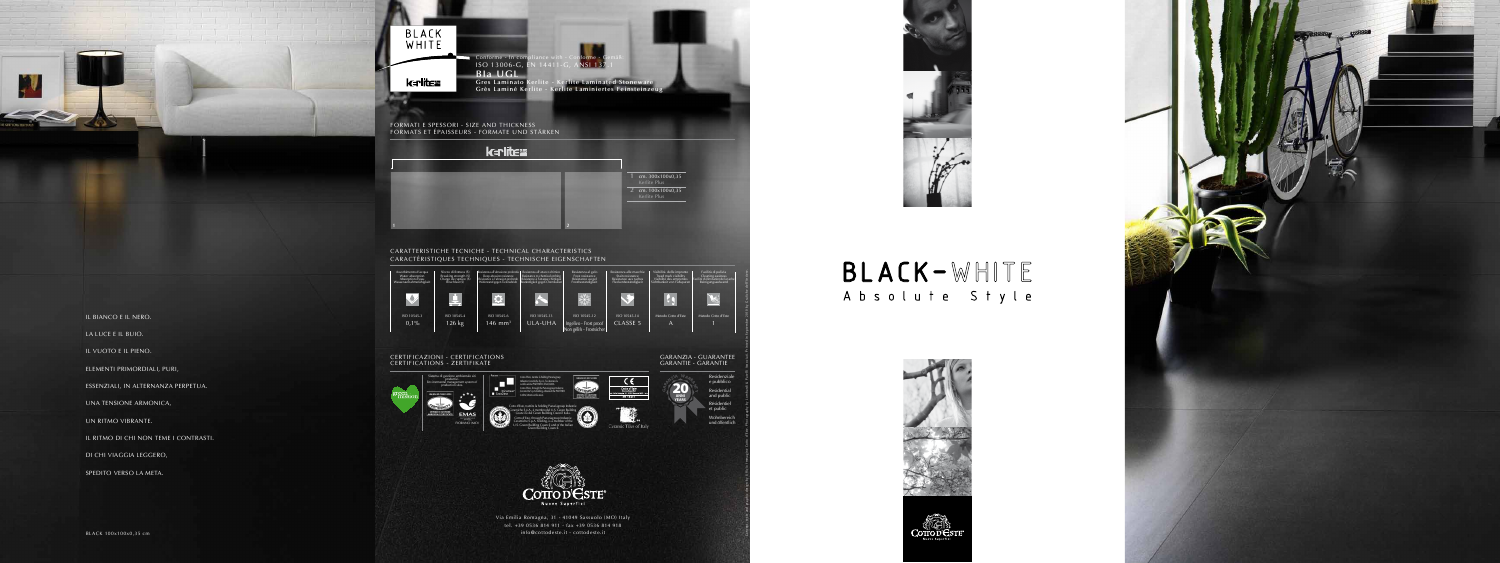



| Assorbimento d'acqua<br>Water absorption<br>Absorption d'eau<br>Wasseraufnahmefähigkeit | Sforzo di Rottura (S)<br>Breaking strength (S)<br>Charge de rupture (S)<br>Bruchlast (S) | Resistenza all'abrasione profonda<br>Deep abrasion resistance<br>Résistance à l'abrasion profonde<br>Widerstand gegen Tiefenabrieb | Resistenza<br>Resistance<br>Résistance<br>Beständigke |
|-----------------------------------------------------------------------------------------|------------------------------------------------------------------------------------------|------------------------------------------------------------------------------------------------------------------------------------|-------------------------------------------------------|
|                                                                                         |                                                                                          |                                                                                                                                    |                                                       |
| ISO 10545-3                                                                             | ISO 10545-4                                                                              | ISO 10545-6                                                                                                                        | ISO                                                   |
| 0,1%                                                                                    | $126$ kg                                                                                 | $146$ mm <sup>3</sup>                                                                                                              |                                                       |
|                                                                                         |                                                                                          |                                                                                                                                    |                                                       |

## CERTIFICAZIONI - CERTIFICATIONS CERTIFICATIONS - ZERTIFIKATE







IL BIANCO E IL NERO.

LA LUCE E IL BUIO.

IL VUOTO E IL PIENO.

ELEMENTI PRIMORDIALI, PURI,

ESSENZIALI, IN ALTERNANZA PERPETUA.

UNA TENSIONE ARMONICA,

UN RITMO VIBRANTE.

IL RITMO DI CHI NON TEME I CONTRASTI.

DI CHI VIAGGIA LEGGERO,

SPEDITO VERSO LA META.

BLACK 100x100x0,35 cm



## BLACK-WHITE Absolute Style



Concept, texts and graphic design by Ufficio Immagine Cotto d'Este. Photography by Lombardi & Patelli Associati. Printed in September 2010 by Grafiche dell'Artiere.